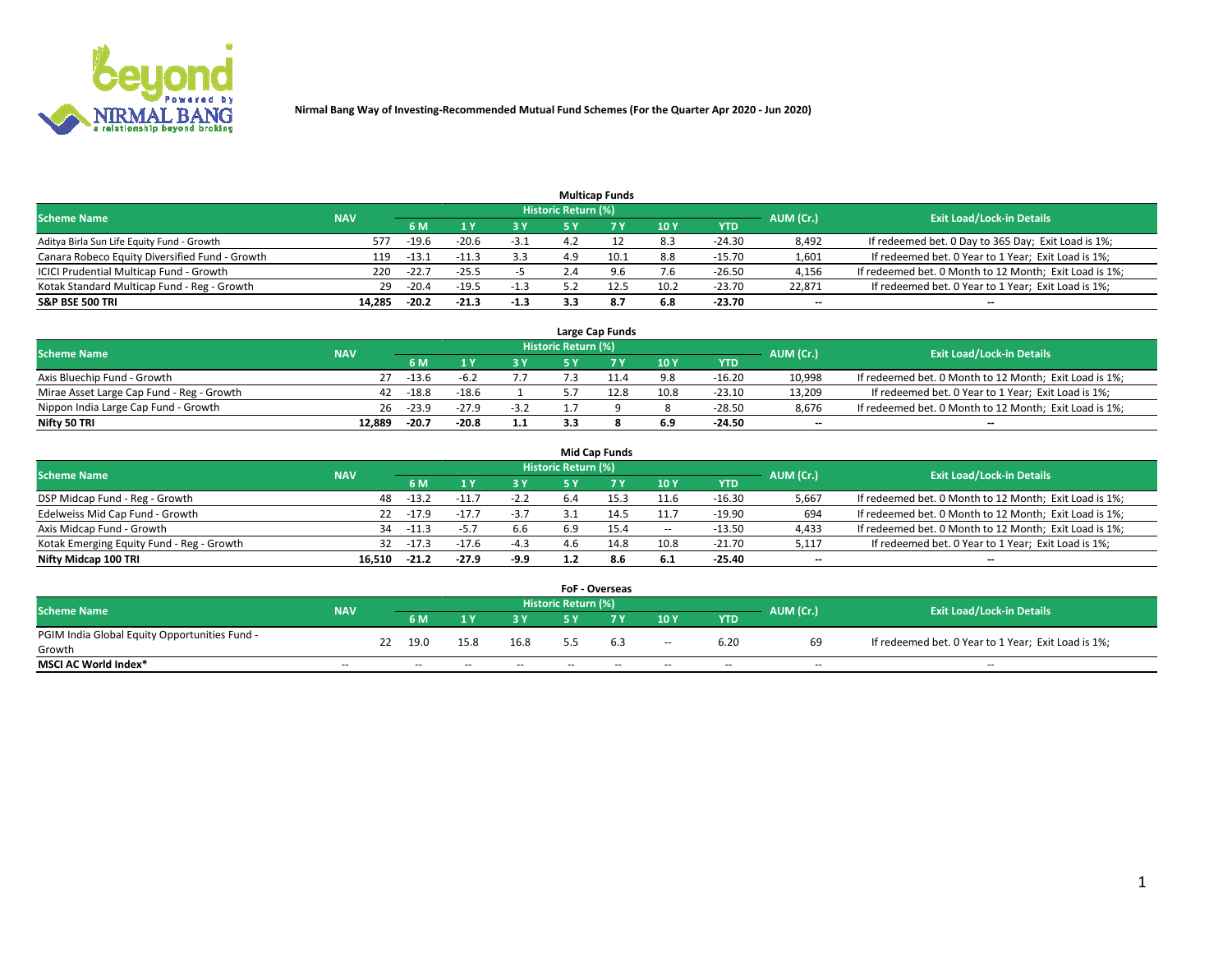

|                                                |            |         |         |        |                     | <b>Multicap Funds</b> |      |          |                          |                                                        |
|------------------------------------------------|------------|---------|---------|--------|---------------------|-----------------------|------|----------|--------------------------|--------------------------------------------------------|
| <b>Scheme Name</b>                             | <b>NAV</b> |         |         |        | Historic Return (%) |                       |      |          | AUM (Cr.)                | <b>Exit Load/Lock-in Details</b>                       |
|                                                |            | 6 M     |         | 3 Y    | 5 Y                 |                       | 10Y  | YTD      |                          |                                                        |
| Aditya Birla Sun Life Equity Fund - Growth     | 577        | $-19.6$ | $-20.6$ | -3.1   | 4.2                 |                       | 8.3  | $-24.30$ | 8,492                    | If redeemed bet. 0 Day to 365 Day; Exit Load is 1%;    |
| Canara Robeco Equity Diversified Fund - Growth | 119        | $-13.1$ | $-11.3$ | 3.3    | 4.9                 | 10.1                  | 8.8  | $-15.70$ | 1,601                    | If redeemed bet. 0 Year to 1 Year; Exit Load is 1%;    |
| ICICI Prudential Multicap Fund - Growth        | 220        | $-22.7$ | $-25.5$ |        | Z.4                 | 9.6                   | 7.6  | $-26.50$ | 4,156                    | If redeemed bet. 0 Month to 12 Month; Exit Load is 1%; |
| Kotak Standard Multicap Fund - Reg - Growth    | 29         | $-20.4$ | $-19.5$ | $-1.3$ | с 1                 |                       | 10.2 | $-23.70$ | 22.871                   | If redeemed bet. 0 Year to 1 Year; Exit Load is 1%;    |
| <b>S&amp;P BSE 500 TRI</b>                     | 14.285     | $-20.2$ | $-21.3$ | $-1.3$ | 3.3                 | 8.7                   | 6.8  | $-23.70$ | $\overline{\phantom{a}}$ | --                                                     |

|                                           |            |         |         |        |                            | Large Cap Funds |      |            |           |                                                        |
|-------------------------------------------|------------|---------|---------|--------|----------------------------|-----------------|------|------------|-----------|--------------------------------------------------------|
| <b>Scheme Name</b>                        | <b>NAV</b> |         |         |        | <b>Historic Return (%)</b> |                 |      |            | AUM (Cr.) | <b>Exit Load/Lock-in Details</b>                       |
|                                           |            | 6 M     |         | 2 V.   | ςv                         |                 | 10Y  | <b>YTD</b> |           |                                                        |
| Axis Bluechip Fund - Growth               |            | $-13.6$ | $-h$ .  |        |                            |                 | 9.8  | $-16.20$   | 10,998    | If redeemed bet. 0 Month to 12 Month; Exit Load is 1%; |
| Mirae Asset Large Cap Fund - Reg - Growth | 42         | $-18.8$ | $-18.6$ |        |                            | 12.8            | 10.8 | $-23.10$   | 13,209    | If redeemed bet. 0 Year to 1 Year; Exit Load is 1%;    |
| Nippon India Large Cap Fund - Growth      | 26         | $-23.9$ | -27.9   | $-3.2$ |                            |                 |      | $-28.50$   | 8.676     | If redeemed bet. 0 Month to 12 Month; Exit Load is 1%; |
| Nifty 50 TRI                              | 12.889     | -20.7   | $-20.8$ | 1.1    |                            |                 | 6.9  | $-24.50$   | --        | $- -$                                                  |

|                                           |            |         |         |        |                            | <b>Mid Cap Funds</b> |       |            |                          |                                                        |
|-------------------------------------------|------------|---------|---------|--------|----------------------------|----------------------|-------|------------|--------------------------|--------------------------------------------------------|
| <b>Scheme Name</b>                        | <b>NAV</b> |         |         |        | <b>Historic Return (%)</b> |                      |       |            | AUM (Cr.)                | <b>Exit Load/Lock-in Details</b>                       |
|                                           |            | 6 M     |         | 3 Y    | 5 Y                        |                      | 10 Y  | <b>YTD</b> |                          |                                                        |
| DSP Midcap Fund - Reg - Growth            | 48         | $-13.2$ | $-11.7$ | $-2.2$ | -6.4                       | 15.3                 | 11.6  | $-16.30$   | 5,667                    | If redeemed bet. 0 Month to 12 Month; Exit Load is 1%; |
| Edelweiss Mid Cap Fund - Growth           | 22         | $-17.9$ | $-17.7$ | $-3.7$ |                            | 14.5                 | 11.7  | $-19.90$   | 694                      | If redeemed bet. 0 Month to 12 Month; Exit Load is 1%; |
| Axis Midcap Fund - Growth                 | 34         | $-11.3$ | $-5.7$  | 6.6    | 6.9                        | 15.4                 | $\!-$ | $-13.50$   | 4,433                    | If redeemed bet. 0 Month to 12 Month; Exit Load is 1%; |
| Kotak Emerging Equity Fund - Reg - Growth | 32         | $-17.3$ | $-17.6$ | $-4.3$ | 4.6                        | 14.8                 | 10.8  | $-21.70$   | 5,117                    | If redeemed bet. 0 Year to 1 Year; Exit Load is 1%;    |
| Nifty Midcap 100 TRI                      | 16.510     | $-21.2$ | $-27.9$ | -9.9   |                            | 8.6                  | 6.1   | -25.40     | $\overline{\phantom{m}}$ | $- -$                                                  |

|                                               |                          |    |        |       |       |                            | <b>FoF - Overseas</b> |                          |            |                          |                                                     |
|-----------------------------------------------|--------------------------|----|--------|-------|-------|----------------------------|-----------------------|--------------------------|------------|--------------------------|-----------------------------------------------------|
| <b>Scheme Name</b>                            | <b>NAV</b>               |    |        |       |       | <b>Historic Return (%)</b> |                       |                          |            | AUM (Cr.)                | <b>Exit Load/Lock-in Details</b>                    |
|                                               |                          |    | 6 M    |       | 2 V.  | E V                        |                       | 10Y                      | <b>YTD</b> |                          |                                                     |
| PGIM India Global Equity Opportunities Fund - |                          | 22 | 19.0   | 15.8  | 16.8  |                            | 6.3                   |                          | 6.20       | 69                       | If redeemed bet. 0 Year to 1 Year; Exit Load is 1%; |
| Growth                                        |                          |    |        |       |       |                            |                       | $\overline{\phantom{a}}$ |            |                          |                                                     |
| <b>MSCI AC World Index*</b>                   | $\overline{\phantom{a}}$ |    | $\sim$ | $- -$ | $- -$ | $\sim$                     | $- -$                 | $\overline{\phantom{a}}$ | $\sim$     | $\overline{\phantom{m}}$ | $\sim$                                              |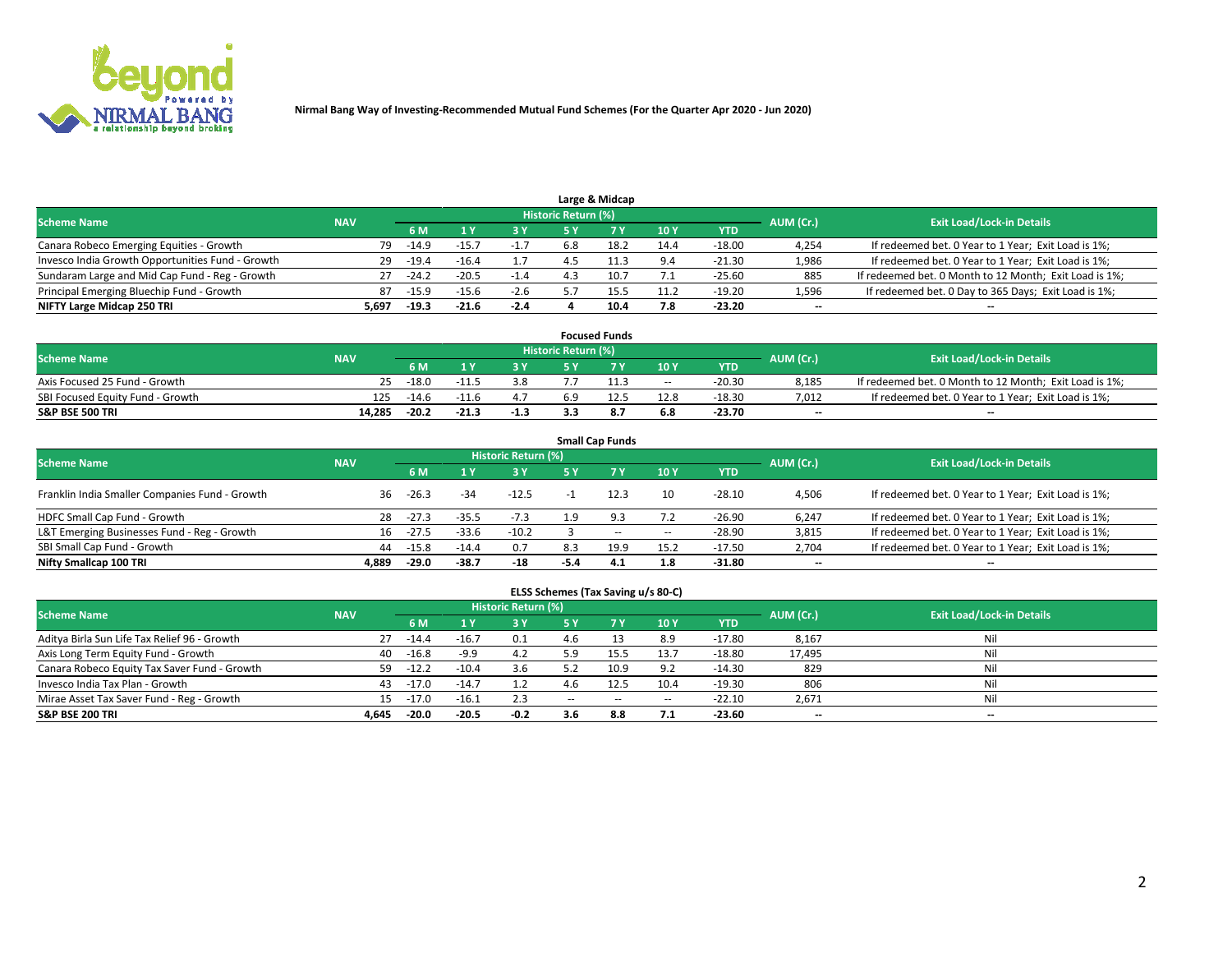

|                                                  |            |         |         |        |                     | Large & Midcap |                  |          |           |                                                        |
|--------------------------------------------------|------------|---------|---------|--------|---------------------|----------------|------------------|----------|-----------|--------------------------------------------------------|
| <b>Scheme Name</b>                               | <b>NAV</b> |         |         |        | Historic Return (%) |                |                  |          | AUM (Cr.) | <b>Exit Load/Lock-in Details</b>                       |
|                                                  |            | 6 M     |         | 3 Y    |                     |                | 10Y              | YTD      |           |                                                        |
| Canara Robeco Emerging Equities - Growth         | 79         | $-14.9$ | $-15.$  | $-1.7$ | 6.8                 | 18.7           | 14.4             | $-18.00$ | 4,254     | If redeemed bet. 0 Year to 1 Year; Exit Load is 1%;    |
| Invesco India Growth Opportunities Fund - Growth | 29         | $-19.4$ | $-16.4$ |        | ⊿ ∙                 |                | 9.4              | $-21.30$ | 1,986     | If redeemed bet. 0 Year to 1 Year; Exit Load is 1%;    |
| Sundaram Large and Mid Cap Fund - Reg - Growth   | 27         | $-24.2$ | $-20.5$ | $-1.4$ |                     | 10.7           | $\overline{1}$ . | $-25.60$ | 885       | If redeemed bet. 0 Month to 12 Month; Exit Load is 1%; |
| Principal Emerging Bluechip Fund - Growth        | 87         | $-15.9$ | $-15.6$ | $-2.6$ |                     |                | 11.2             | $-19.20$ | 1,596     | If redeemed bet. 0 Day to 365 Days; Exit Load is 1%;   |
| NIFTY Large Midcap 250 TRI                       | 5.697      | $-19.3$ | $-21.6$ | $-2.4$ |                     |                | 7.8              | $-23.20$ | $- -$     | $\overline{\phantom{a}}$                               |

|                                  |            |         |         |        |                     | <b>Focused Funds</b> |        |            |           |                                                        |
|----------------------------------|------------|---------|---------|--------|---------------------|----------------------|--------|------------|-----------|--------------------------------------------------------|
| <b>Scheme Name</b>               | <b>NAV</b> |         |         |        | Historic Return (%) |                      |        |            | AUM (Cr.) | <b>Exit Load/Lock-in Details</b>                       |
|                                  |            | 6 M     |         |        |                     |                      | 10Y    | <b>YTD</b> |           |                                                        |
| Axis Focused 25 Fund - Growth    | 25         | $-18.0$ | $-11.5$ | 3.8    |                     |                      | $\sim$ | $-20.30$   | 8.185     | If redeemed bet. 0 Month to 12 Month; Exit Load is 1%; |
| SBI Focused Equity Fund - Growth | 125        | $-14.6$ |         |        | 6.9                 |                      | 12.8   | -18.30     | 7.012     | If redeemed bet. 0 Year to 1 Year; Exit Load is 1%;    |
| <b>S&amp;P BSE 500 TRI</b>       | 14.285     | $-20.2$ | $-21.3$ | $-1.3$ |                     | 8.7                  | 6.8    | $-23.70$   | $- -$     | $\overline{\phantom{a}}$                               |

| <b>Small Cap Funds</b>                                                                                          |       |         |         |         |        |           |       |            |                          |                                                     |  |  |  |  |
|-----------------------------------------------------------------------------------------------------------------|-------|---------|---------|---------|--------|-----------|-------|------------|--------------------------|-----------------------------------------------------|--|--|--|--|
| <b>Historic Return (%)</b><br><b>Exit Load/Lock-in Details</b><br><b>Scheme Name</b><br><b>NAV</b><br>AUM (Cr.) |       |         |         |         |        |           |       |            |                          |                                                     |  |  |  |  |
|                                                                                                                 |       | 6 M     |         | 3 Y     | 5 Y    | <b>7Y</b> | 10Y   | <b>YTD</b> |                          |                                                     |  |  |  |  |
| Franklin India Smaller Companies Fund - Growth                                                                  | 36    | $-26.3$ | $-34$   | $-12.5$ |        | 12.3      | 10    | $-28.10$   | 4,506                    | If redeemed bet. 0 Year to 1 Year; Exit Load is 1%; |  |  |  |  |
| HDFC Small Cap Fund - Growth                                                                                    | 28    | $-27.3$ | $-35.5$ | $-7.3$  | 1.9    | 9.3       | 7.2   | $-26.90$   | 6,247                    | If redeemed bet. 0 Year to 1 Year; Exit Load is 1%; |  |  |  |  |
| L&T Emerging Businesses Fund - Reg - Growth                                                                     | 16    | $-27.5$ | $-33.6$ | $-10.2$ |        | $-$       | $\!-$ | $-28.90$   | 3,815                    | If redeemed bet. 0 Year to 1 Year; Exit Load is 1%; |  |  |  |  |
| SBI Small Cap Fund - Growth                                                                                     | 44    | $-15.8$ | $-14.4$ | 0.7     | 8.3    | 19.9      | 15.2  | $-17.50$   | 2,704                    | If redeemed bet. 0 Year to 1 Year; Exit Load is 1%; |  |  |  |  |
| Nifty Smallcap 100 TRI                                                                                          | 4.889 | $-29.0$ | -38.7   | -18     | $-5.4$ | 4.1       | 1.8   | -31.80     | $\overline{\phantom{a}}$ | --                                                  |  |  |  |  |

## **ELSS Schemes (Tax Saving u/s 80-C)**

| <b>Scheme Name</b>                           | <b>NAV</b> |         |         | <b>Historic Return (%)</b> |       |       |        |            | AUM (Cr.) | <b>Exit Load/Lock-in Details</b> |
|----------------------------------------------|------------|---------|---------|----------------------------|-------|-------|--------|------------|-----------|----------------------------------|
|                                              |            | 6 M     |         | 3 Y                        | 5 Y   |       | 10Y    | <b>YTD</b> |           |                                  |
| Aditya Birla Sun Life Tax Relief 96 - Growth | 27         | -14.4   | $-16.7$ | 0.1                        | 4.6   |       | 8.9    | $-17.80$   | 8,167     | Nil                              |
| Axis Long Term Equity Fund - Growth          | 40         | $-16.8$ | $-9.9$  | 4.2                        | 5.9   |       | 13.7   | $-18.80$   | 17,495    | Nil                              |
| Canara Robeco Equity Tax Saver Fund - Growth | 59         | $-12.2$ | $-10.4$ | 3.6                        |       | 10.9  | 9.2    | $-14.30$   | 829       | Nil                              |
| Invesco India Tax Plan - Growth              | 43         | $-17.0$ | $-14.7$ | 1.2                        |       |       | 10.4   | $-19.30$   | 806       | Nil                              |
| Mirae Asset Tax Saver Fund - Reg - Growth    | 15         | $-17.0$ | $-16.1$ | 2.3                        | $- -$ | $- -$ | $\sim$ | $-22.10$   | 2,671     | Nil                              |
| <b>S&amp;P BSE 200 TRI</b>                   | 4.645      | $-20.0$ | $-20.5$ | $-0.2$                     | 3.6   | 8.8   | 7.1    | $-23.60$   | $- -$     | $-$                              |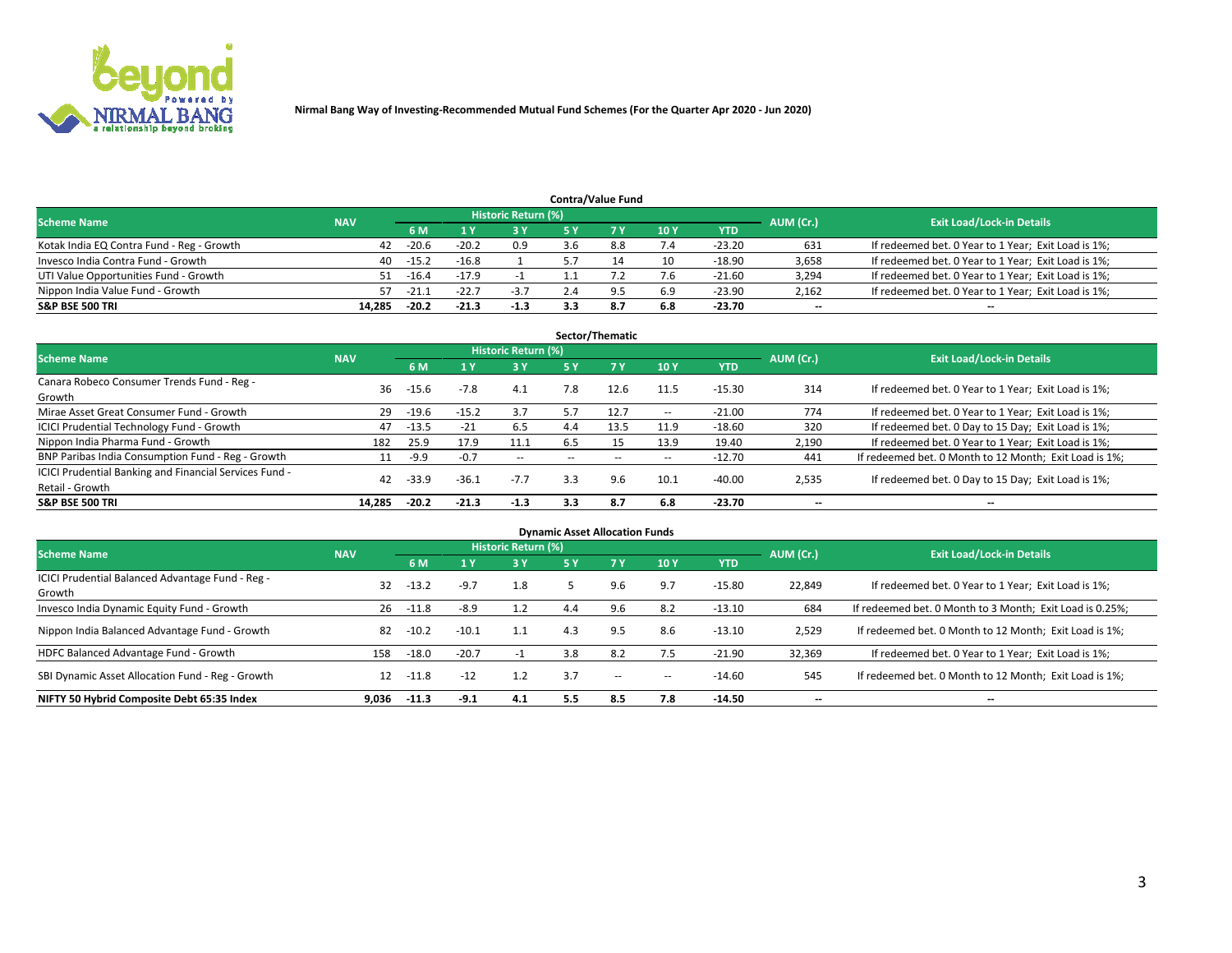

|                                           |            |                                  |         |        |     | <b>Contra/Value Fund</b> |     |            |       |                                                     |
|-------------------------------------------|------------|----------------------------------|---------|--------|-----|--------------------------|-----|------------|-------|-----------------------------------------------------|
| <b>Scheme Name</b>                        | AUM (Cr.)  | <b>Exit Load/Lock-in Details</b> |         |        |     |                          |     |            |       |                                                     |
|                                           | <b>NAV</b> | 6 M                              |         | 3 Y    |     |                          | 10Y | <b>YTD</b> |       |                                                     |
| Kotak India EQ Contra Fund - Reg - Growth | 42         | $-20.6$                          | $-20.2$ | 0.9    | 3.6 | 8.8                      | 7.4 | $-23.20$   | 631   | If redeemed bet. 0 Year to 1 Year; Exit Load is 1%; |
| Invesco India Contra Fund - Growth        | 40         | $-15.2$                          | $-16.8$ |        |     |                          | 10  | -18.90     | 3,658 | If redeemed bet. 0 Year to 1 Year; Exit Load is 1%; |
| UTI Value Opportunities Fund - Growth     | 51         | $-16.4$                          | $-17.9$ |        |     |                          | 7.6 | $-21.60$   | 3,294 | If redeemed bet. 0 Year to 1 Year; Exit Load is 1%; |
| Nippon India Value Fund - Growth          | 57         | $-21.1$                          | $-22.7$ | $-3.7$ |     | Q                        | 6.9 | $-23.90$   | 2,162 | If redeemed bet. 0 Year to 1 Year; Exit Load is 1%; |
| <b>S&amp;P BSE 500 TRI</b>                | 14,285     | $-20.2$                          | $-21.3$ | -1.3   |     | 8.7                      | 6.8 | $-23.70$   | $- -$ | $\overline{\phantom{a}}$                            |

| Sector/Thematic                                                           |            |         |         |                     |        |      |                          |          |                          |                                                        |  |  |  |
|---------------------------------------------------------------------------|------------|---------|---------|---------------------|--------|------|--------------------------|----------|--------------------------|--------------------------------------------------------|--|--|--|
| <b>Scheme Name</b>                                                        | <b>NAV</b> |         |         | Historic Return (%) |        |      |                          |          | AUM (Cr.)                | <b>Exit Load/Lock-in Details</b>                       |  |  |  |
|                                                                           |            | 6 M     |         | <b>3Y</b>           | 5 Y    | 7Y   | 10Y                      | YTD      |                          |                                                        |  |  |  |
| Canara Robeco Consumer Trends Fund - Reg -<br>Growth                      | 36         | $-15.6$ | $-7.8$  | 4.1                 | 7.8    | 12.6 | 11.5                     | $-15.30$ | 314                      | If redeemed bet. 0 Year to 1 Year; Exit Load is 1%;    |  |  |  |
| Mirae Asset Great Consumer Fund - Growth                                  | 29         | $-19.6$ | $-15.2$ | 3.7                 | 5.7    | 12.7 | $\hspace{0.05cm} \cdots$ | $-21.00$ | 774                      | If redeemed bet. 0 Year to 1 Year; Exit Load is 1%;    |  |  |  |
| <b>ICICI Prudential Technology Fund - Growth</b>                          | 47         | $-13.5$ | $-21$   | 6.5                 | 4.4    | 13.5 | 11.9                     | $-18.60$ | 320                      | If redeemed bet. 0 Day to 15 Day; Exit Load is 1%;     |  |  |  |
| Nippon India Pharma Fund - Growth                                         | 182        | 25.9    | 17.9    | 11.1                | ნ.5    | 5٠   | 13.9                     | 19.40    | 2,190                    | If redeemed bet. 0 Year to 1 Year; Exit Load is 1%;    |  |  |  |
| BNP Paribas India Consumption Fund - Reg - Growth                         | 11         | $-9.9$  | $-0.7$  | $\sim$ $-$          | $\sim$ | --   | $\hspace{0.05cm} \cdots$ | $-12.70$ | 441                      | If redeemed bet. 0 Month to 12 Month; Exit Load is 1%; |  |  |  |
| ICICI Prudential Banking and Financial Services Fund -<br>Retail - Growth | 42         | $-33.9$ | $-36.1$ | $-7.7$              | 3.3    | 9.6  | 10.1                     | $-40.00$ | 2,535                    | If redeemed bet. 0 Day to 15 Day; Exit Load is 1%;     |  |  |  |
| <b>S&amp;P BSE 500 TRI</b>                                                | 14.285     | $-20.2$ | $-21.3$ | $-1.3$              | 3.3    | 8.7  | 6.8                      | $-23.70$ | $\overline{\phantom{a}}$ | --                                                     |  |  |  |

| <b>Dynamic Asset Allocation Funds</b>                      |            |         |         |                     |     |           |       |            |                          |                                                          |  |  |  |
|------------------------------------------------------------|------------|---------|---------|---------------------|-----|-----------|-------|------------|--------------------------|----------------------------------------------------------|--|--|--|
| <b>Scheme Name</b>                                         | <b>NAV</b> |         |         | Historic Return (%) |     |           |       |            | AUM (Cr.)                | <b>Exit Load/Lock-in Details</b>                         |  |  |  |
|                                                            |            | 6 M     |         | <b>3Y</b>           | 5 Y | <b>7Y</b> | 10Y   | <b>YTD</b> |                          |                                                          |  |  |  |
| ICICI Prudential Balanced Advantage Fund - Reg -<br>Growth | 32         | $-13.2$ | $-9.7$  | 1.8                 |     | 9.6       | 9.7   | $-15.80$   | 22,849                   | If redeemed bet. 0 Year to 1 Year; Exit Load is 1%;      |  |  |  |
| Invesco India Dynamic Equity Fund - Growth                 | 26         | $-11.8$ | $-8.9$  | 1.2                 | 4.4 | 9.6       | 8.2   | $-13.10$   | 684                      | If redeemed bet. 0 Month to 3 Month; Exit Load is 0.25%; |  |  |  |
| Nippon India Balanced Advantage Fund - Growth              | 82         | $-10.2$ | $-10.1$ | 1.1                 | 4.3 | 9.5       | 8.6   | $-13.10$   | 2,529                    | If redeemed bet. 0 Month to 12 Month; Exit Load is 1%;   |  |  |  |
| HDFC Balanced Advantage Fund - Growth                      | 158        | $-18.0$ | $-20.7$ |                     | 3.8 | 8.2       | 7.5   | $-21.90$   | 32,369                   | If redeemed bet. 0 Year to 1 Year; Exit Load is 1%;      |  |  |  |
| SBI Dynamic Asset Allocation Fund - Reg - Growth           | 12         | $-11.8$ | $-12$   | 1.2                 | 3.7 | $\sim$    | $\!-$ | $-14.60$   | 545                      | If redeemed bet. 0 Month to 12 Month; Exit Load is 1%;   |  |  |  |
| NIFTY 50 Hybrid Composite Debt 65:35 Index                 | 9.036      | $-11.3$ | $-9.1$  | 4.1                 | 5.5 | 8.5       | 7.8   | $-14.50$   | $\overline{\phantom{a}}$ | --                                                       |  |  |  |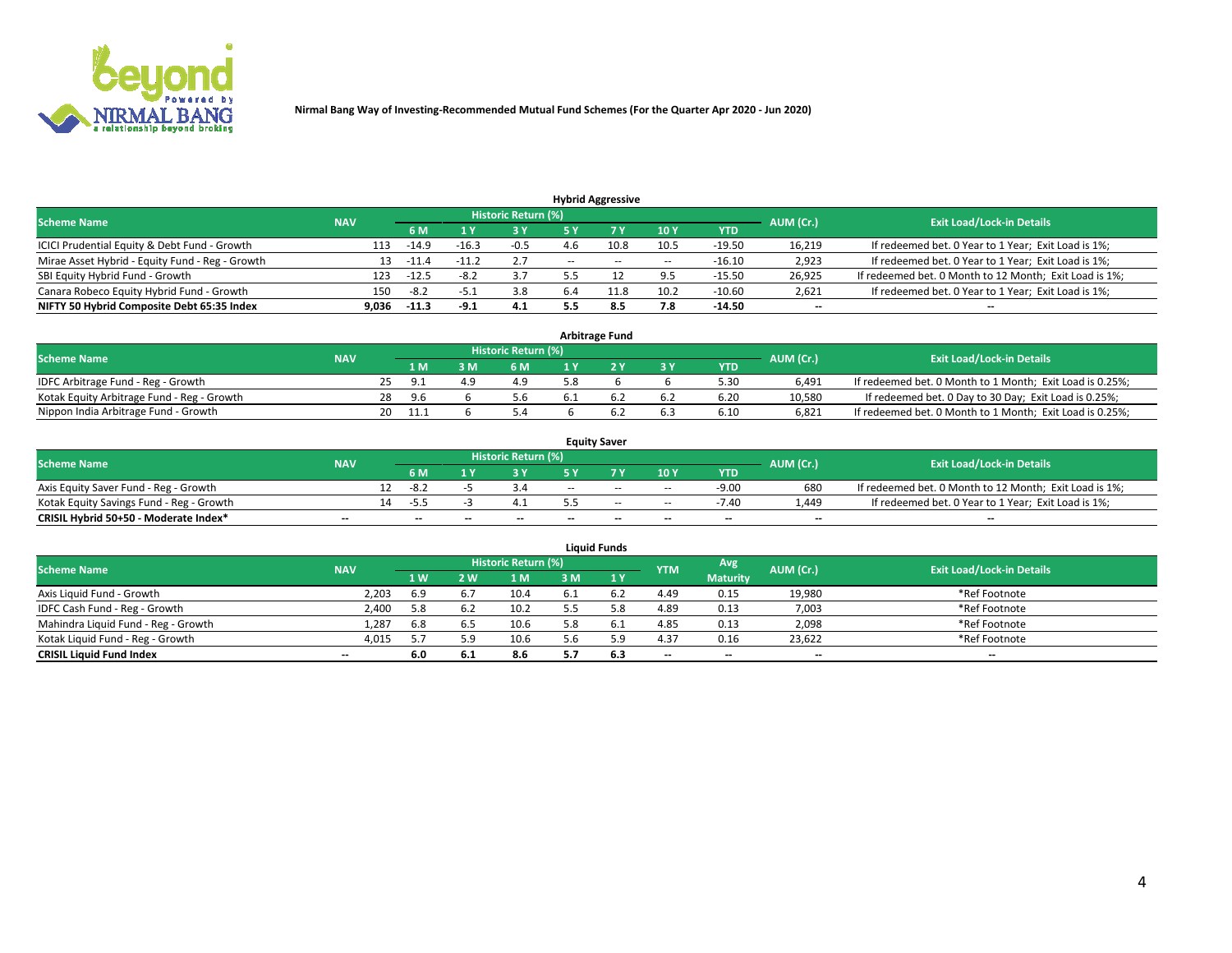

|                                                 |            |                                  |         |        |       | <b>Hybrid Aggressive</b> |                          |          |                          |                                                        |
|-------------------------------------------------|------------|----------------------------------|---------|--------|-------|--------------------------|--------------------------|----------|--------------------------|--------------------------------------------------------|
| <b>Scheme Name</b>                              | AUM (Cr.)  | <b>Exit Load/Lock-in Details</b> |         |        |       |                          |                          |          |                          |                                                        |
|                                                 | <b>NAV</b> | 6 M                              |         | 73 Y   |       |                          | 10Y                      | YTD      |                          |                                                        |
| ICICI Prudential Equity & Debt Fund - Growth    | 113        | $-14.9$                          | $-16.3$ | $-0.5$ |       |                          | 10.5                     | $-19.50$ | 16,219                   | If redeemed bet. 0 Year to 1 Year; Exit Load is 1%;    |
| Mirae Asset Hybrid - Equity Fund - Reg - Growth |            | $-11.4$                          |         | 2.7    | $- -$ | $\sim$ $\sim$            | $\overline{\phantom{a}}$ | $-16.10$ | 2,923                    | If redeemed bet. 0 Year to 1 Year; Exit Load is 1%;    |
| SBI Equity Hybrid Fund - Growth                 | 123        | $-12.5$                          |         |        |       |                          | 9.5                      | $-15.50$ | 26,925                   | If redeemed bet. 0 Month to 12 Month; Exit Load is 1%; |
| Canara Robeco Equity Hybrid Fund - Growth       | 150        | -8.2                             | $-5.1$  | 3.8    | 6.4   | 11.8                     | 10.2                     | $-10.60$ | 2,621                    | If redeemed bet. 0 Year to 1 Year; Exit Load is 1%;    |
| NIFTY 50 Hybrid Composite Debt 65:35 Index      | 9.036      | -11.3                            | $-9.1$  | 4.1    |       | 8.5                      | 7.8                      | $-14.50$ | $\overline{\phantom{a}}$ | --                                                     |

| <b>Arbitrage Fund</b>                      |            |    |      |     |                     |  |  |     |            |           |                                                          |  |  |
|--------------------------------------------|------------|----|------|-----|---------------------|--|--|-----|------------|-----------|----------------------------------------------------------|--|--|
| <b>Scheme Name</b>                         | <b>NAV</b> |    |      |     | Historic Return (%) |  |  |     |            | AUM (Cr.) | <b>Exit Load/Lock-in Details</b>                         |  |  |
|                                            |            |    | 1 M  | . M | 6 M                 |  |  | 3 Y | <b>YTD</b> |           |                                                          |  |  |
| IDFC Arbitrage Fund - Reg - Growth         |            |    | O 1  |     | 4.9                 |  |  |     | 5.30       | 6.491     | If redeemed bet. 0 Month to 1 Month; Exit Load is 0.25%; |  |  |
| Kotak Equity Arbitrage Fund - Reg - Growth |            | 28 | -9.6 |     | 5.6                 |  |  | 6.2 | 6.20       | 10.580    | If redeemed bet. 0 Day to 30 Day; Exit Load is 0.25%;    |  |  |
| Nippon India Arbitrage Fund - Growth       |            | 20 | 11.1 |     | 5.4                 |  |  | 6.3 | 6.10       | 6.821     | If redeemed bet. 0 Month to 1 Month; Exit Load is 0.25%; |  |  |

| <b>Equity Saver</b>                      |                          |    |                          |       |                     |     |                          |                          |                          |           |                                                        |  |  |  |
|------------------------------------------|--------------------------|----|--------------------------|-------|---------------------|-----|--------------------------|--------------------------|--------------------------|-----------|--------------------------------------------------------|--|--|--|
| <b>Scheme Name</b>                       | <b>NAV</b>               |    |                          |       | Historic Return (%) |     |                          |                          |                          | AUM (Cr.) | <b>Exit Load/Lock-in Details</b>                       |  |  |  |
|                                          |                          |    | 6 M                      |       |                     |     |                          | 10Y                      | <b>YTD</b>               |           |                                                        |  |  |  |
| Axis Equity Saver Fund - Reg - Growth    |                          |    | $-8.2$                   |       |                     | $-$ | $-$                      | $\sim$                   | $-9.00$                  | 680       | If redeemed bet. 0 Month to 12 Month; Exit Load is 1%; |  |  |  |
| Kotak Equity Savings Fund - Reg - Growth |                          | 14 | -55                      |       |                     |     | $-$                      | $-$                      | -7.40                    | .449      | If redeemed bet. 0 Year to 1 Year; Exit Load is 1%;    |  |  |  |
| CRISIL Hybrid 50+50 - Moderate Index*    | $\overline{\phantom{a}}$ |    | $\overline{\phantom{a}}$ | $- -$ | $-$                 | $-$ | $\overline{\phantom{a}}$ | $\overline{\phantom{a}}$ | $\overline{\phantom{a}}$ | $- -$     | $\overline{\phantom{a}}$                               |  |  |  |

| <b>Liquid Funds</b>                 |            |                |      |                            |     |     |            |                 |           |                                  |  |  |  |  |
|-------------------------------------|------------|----------------|------|----------------------------|-----|-----|------------|-----------------|-----------|----------------------------------|--|--|--|--|
| <b>Scheme Name</b>                  | <b>NAV</b> |                |      | <b>Historic Return (%)</b> |     |     | <b>YTM</b> | Avg             | AUM (Cr.) | <b>Exit Load/Lock-in Details</b> |  |  |  |  |
|                                     |            | 1 <sub>W</sub> | W.   | 1 M                        | ៵៳  |     |            | <b>Maturity</b> |           |                                  |  |  |  |  |
| Axis Liquid Fund - Growth           | 2,203      | 6.9            | -6.7 | 10.4                       | 6.1 |     | 4.49       | 0.15            | 19,980    | *Ref Footnote                    |  |  |  |  |
| IDFC Cash Fund - Reg - Growth       | 2.400      | 5.8            | 6.2  | 10.2                       |     | 58  | 4.89       | 0.13            | 7,003     | *Ref Footnote                    |  |  |  |  |
| Mahindra Liquid Fund - Reg - Growth | 1,287      | 6.8            | 6.5  | 10.6                       | 5.8 | 6.1 | 4.85       | 0.13            | 2,098     | *Ref Footnote                    |  |  |  |  |
| Kotak Liquid Fund - Reg - Growth    | 4,015      |                |      | 10.6                       | 5.6 | 50  | 4.37       | 0.16            | 23.622    | *Ref Footnote                    |  |  |  |  |
| <b>CRISIL Liquid Fund Index</b>     | $-$        | 6.0            | 6.1  | 8.6                        |     | 6.3 | $-$        | $-$             | $- -$     | $-$                              |  |  |  |  |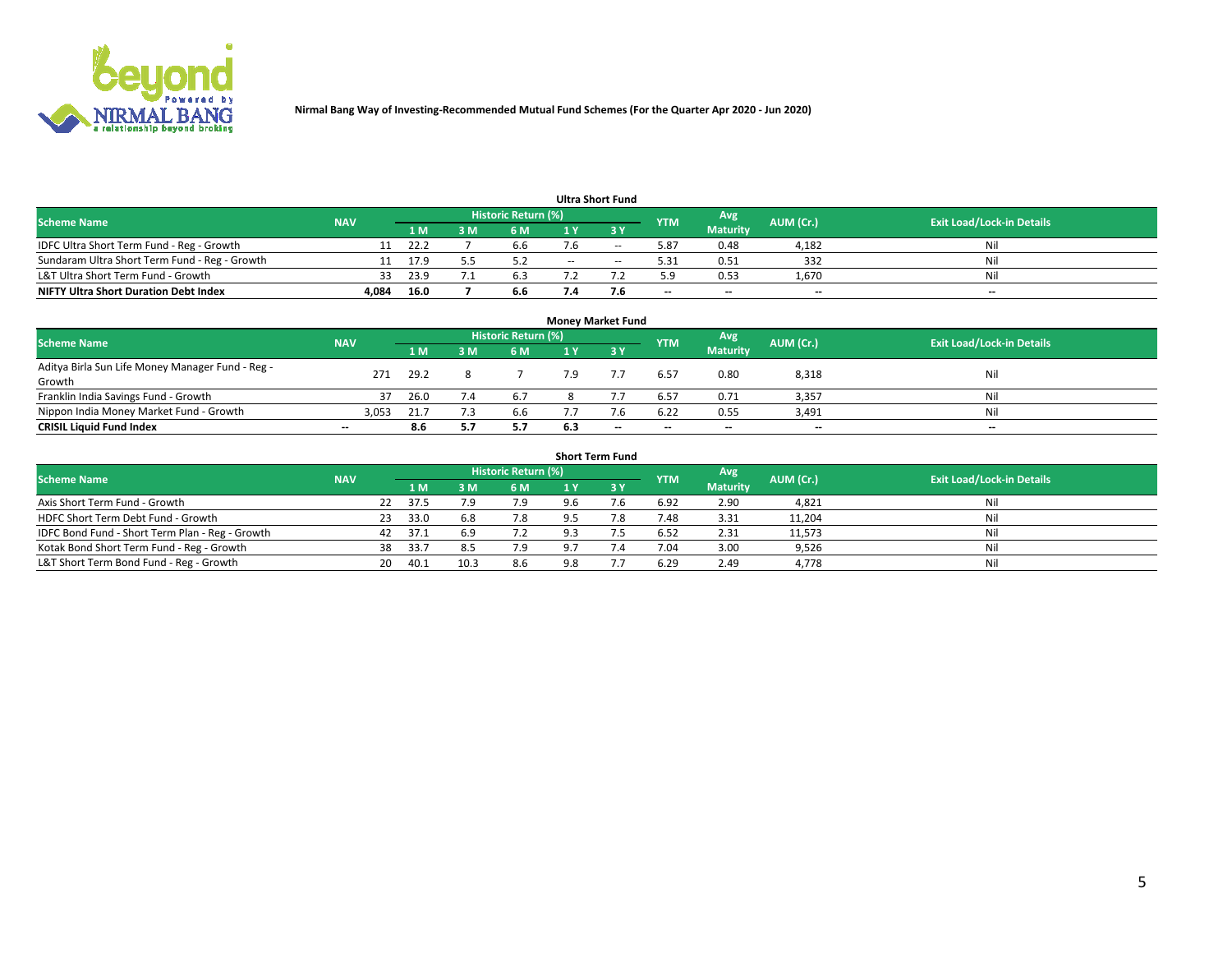

| <b>Ultra Short Fund</b>                       |            |       |  |                     |     |        |            |                          |           |                                  |  |  |  |  |
|-----------------------------------------------|------------|-------|--|---------------------|-----|--------|------------|--------------------------|-----------|----------------------------------|--|--|--|--|
| <b>Scheme Name</b>                            | <b>NAV</b> |       |  | Historic Return (%) |     |        | <b>YTM</b> | Avg                      | AUM (Cr.) | <b>Exit Load/Lock-in Details</b> |  |  |  |  |
|                                               |            | 1 M   |  | 6 M                 |     |        |            | <b>Maturity</b>          |           |                                  |  |  |  |  |
| IDFC Ultra Short Term Fund - Reg - Growth     |            | -22.2 |  | 6.6                 | 7.6 | $\sim$ | 5.87       | 0.48                     | 4,182     | Nil                              |  |  |  |  |
| Sundaram Ultra Short Term Fund - Reg - Growth |            | 17.9  |  |                     | $-$ | $\sim$ | 5.31       | 0.51                     | 332       | Nil                              |  |  |  |  |
| L&T Ultra Short Term Fund - Growth            | 33         | 23.9  |  | 6.3                 |     |        | 5.9        | 0.53                     | 1,670     | Nil                              |  |  |  |  |
| <b>NIFTY Ultra Short Duration Debt Index</b>  | 4.084      | 16.0  |  | 6.6                 | 1.A |        | $- -$      | $\overline{\phantom{a}}$ | $- -$     | $\overline{\phantom{a}}$         |  |  |  |  |

| <b>Money Market Fund</b>                         |                          |      |   |                            |     |      |            |                 |           |                                  |  |  |  |  |
|--------------------------------------------------|--------------------------|------|---|----------------------------|-----|------|------------|-----------------|-----------|----------------------------------|--|--|--|--|
| <b>Scheme Name</b>                               | <b>NAV</b>               |      |   | <b>Historic Return (%)</b> |     |      | <b>YTM</b> | Avg             | AUM (Cr.) | <b>Exit Load/Lock-in Details</b> |  |  |  |  |
|                                                  |                          | 1 M  | M | 6 M                        | 1 Y | -3 Y |            | <b>Maturity</b> |           |                                  |  |  |  |  |
| Aditya Birla Sun Life Money Manager Fund - Reg - | 271                      | 29.2 |   |                            | 7.9 |      | 6.57       | 0.80            | 8,318     | Nil                              |  |  |  |  |
| Growth                                           |                          |      |   |                            |     |      |            |                 |           |                                  |  |  |  |  |
| Franklin India Savings Fund - Growth             | 37                       | 26.0 |   | 6.7                        |     |      | 6.57       | 0.71            | 3,357     | Nil                              |  |  |  |  |
| Nippon India Money Market Fund - Growth          | 3,053                    | 21.7 |   | 6.6                        |     |      | 6.22       | 0.55            | 3,491     | Nil                              |  |  |  |  |
| <b>CRISIL Liquid Fund Index</b>                  | $\overline{\phantom{a}}$ | 8.6  |   | 5.7                        | 6.3 | $-$  | $- -$      | $- -$           | $- -$     | $\overline{\phantom{a}}$         |  |  |  |  |

| <b>Short Term Fund</b>                          |            |    |       |      |                     |     |      |            |                 |           |                                  |  |  |  |
|-------------------------------------------------|------------|----|-------|------|---------------------|-----|------|------------|-----------------|-----------|----------------------------------|--|--|--|
| <b>Scheme Name</b>                              | <b>NAV</b> |    |       |      | Historic Return (%) |     |      | <b>YTM</b> | Avg             | AUM (Cr.) | <b>Exit Load/Lock-in Details</b> |  |  |  |
|                                                 |            |    | 1 M.  | 3M   | 6 M                 |     | 73 Y |            | <b>Maturity</b> |           |                                  |  |  |  |
| Axis Short Term Fund - Growth                   |            | 22 | 37.5  | 7.9  | 7.9                 | 9.6 | 7.6  | 6.92       | 2.90            | 4,821     | Nil                              |  |  |  |
| HDFC Short Term Debt Fund - Growth              |            | 23 | 33.0  | 6.8  | 7.8                 | 9.5 | 7.8  | 1.48       | 3.31            | 11,204    | Nil                              |  |  |  |
| IDFC Bond Fund - Short Term Plan - Reg - Growth |            | 42 | 37.1  | 6.9  | 7.2                 | 9.3 |      | 6.52       | 2.31            | 11,573    | Nil                              |  |  |  |
| Kotak Bond Short Term Fund - Reg - Growth       |            | 38 | -33.7 | 8.5  | 7.9                 | 9.7 | 7.4  | 7.04       | 3.00            | 9,526     | Nil                              |  |  |  |
| L&T Short Term Bond Fund - Reg - Growth         |            | 20 | 40.1  | 10.3 | 8.6                 | 9.8 |      | 6.29       | 2.49            | 4,778     | Nil                              |  |  |  |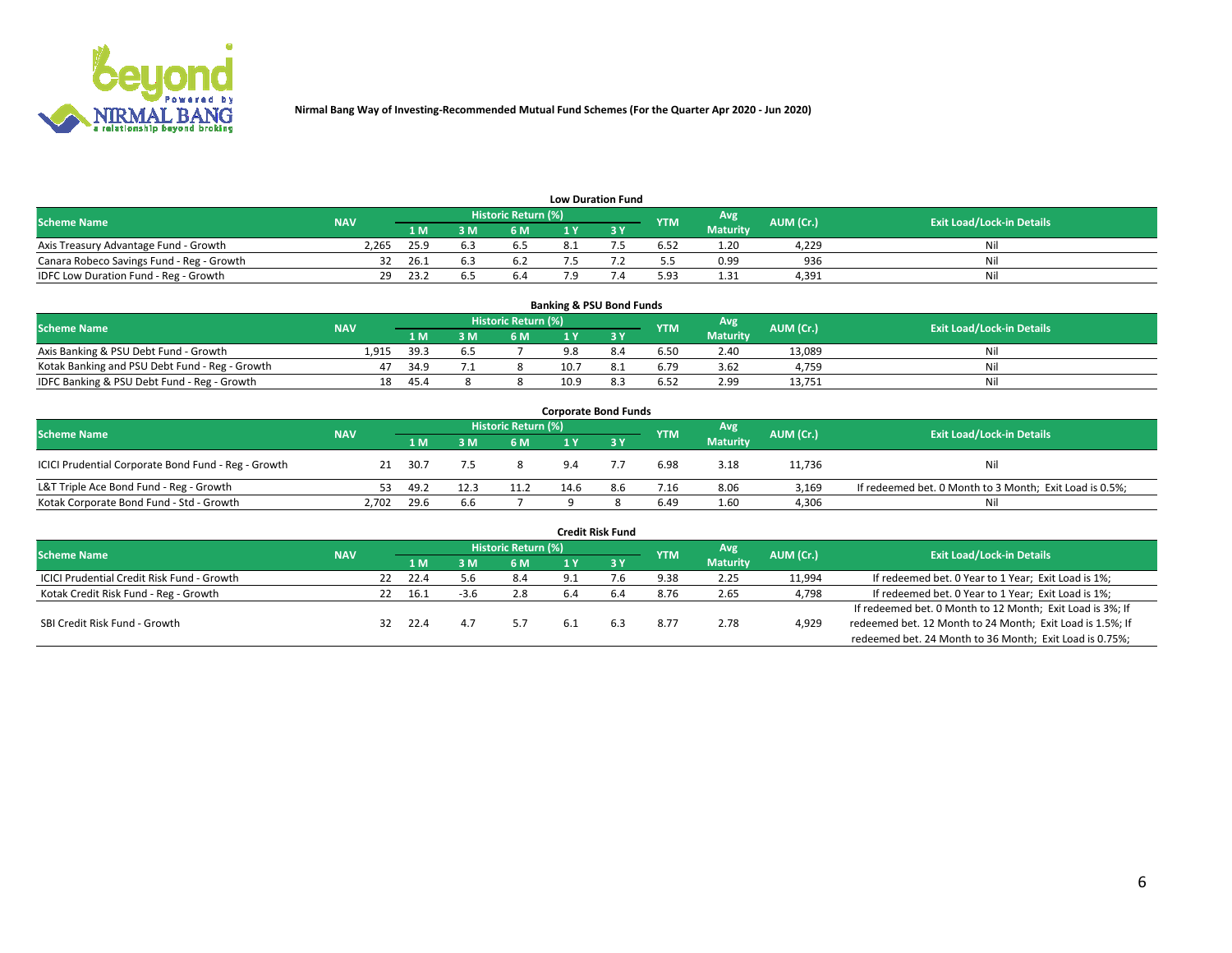

| <b>Low Duration Fund</b>                  |            |      |            |                      |  |  |            |                 |           |                                  |  |  |  |  |
|-------------------------------------------|------------|------|------------|----------------------|--|--|------------|-----------------|-----------|----------------------------------|--|--|--|--|
| <b>Scheme Name</b>                        | <b>NAV</b> |      |            | Historic Return (%)' |  |  | <b>YTM</b> | Avg             | AUM (Cr.) | <b>Exit Load/Lock-in Details</b> |  |  |  |  |
|                                           |            | 1 M  | : M        | 6 M                  |  |  |            | <b>Maturity</b> |           |                                  |  |  |  |  |
| Axis Treasury Advantage Fund - Growth     | 2.265      | 25.9 |            | כ.ס                  |  |  | 6.52       | 1.20            | 4.229     | Nil                              |  |  |  |  |
| Canara Robeco Savings Fund - Reg - Growth |            | 26.1 | <b>b.3</b> | 6.2                  |  |  |            | 0.99            | 936       | Nil                              |  |  |  |  |
| IDFC Low Duration Fund - Reg - Growth     | 29         | 23.7 |            | 6.4                  |  |  | 5.93       | 1.31            | 4,391     | Nil                              |  |  |  |  |

| <b>Banking &amp; PSU Bond Funds</b>            |            |      |     |                            |      |     |            |                 |           |                                  |  |  |  |  |
|------------------------------------------------|------------|------|-----|----------------------------|------|-----|------------|-----------------|-----------|----------------------------------|--|--|--|--|
| <b>Scheme Name</b>                             | <b>NAV</b> |      |     | <b>Historic Return (%)</b> |      |     | <b>YTM</b> | Avg             | AUM (Cr.) | <b>Exit Load/Lock-in Details</b> |  |  |  |  |
|                                                |            | 1 M. | 8 M | 6 M                        |      |     |            | <b>Maturity</b> |           |                                  |  |  |  |  |
| Axis Banking & PSU Debt Fund - Growth          | 1.915      | 39.3 | 6.5 |                            |      | 8.4 | 6.50       | 2.40            | 13.089    | Ni                               |  |  |  |  |
| Kotak Banking and PSU Debt Fund - Reg - Growth | 47         | 34.9 |     |                            | 10.7 |     | 6.79       | 3.62            | 4.759     | Ni                               |  |  |  |  |
| IDFC Banking & PSU Debt Fund - Reg - Growth    | 18         | 45.4 |     |                            | 10.9 |     | 6.52       | 2.99            | 13.751    | Ni                               |  |  |  |  |

| <b>Corporate Bond Funds</b>                         |            |      |      |                     |      |     |            |                 |           |                                                         |  |  |  |  |
|-----------------------------------------------------|------------|------|------|---------------------|------|-----|------------|-----------------|-----------|---------------------------------------------------------|--|--|--|--|
| <b>Scheme Name</b>                                  | <b>NAV</b> |      |      | Historic Return (%) |      |     | <b>YTM</b> | Avg \           | AUM (Cr.) | <b>Exit Load/Lock-in Details</b>                        |  |  |  |  |
|                                                     |            | 1 M. | 8 M  | 6 M                 |      |     |            | <b>Maturity</b> |           |                                                         |  |  |  |  |
| ICICI Prudential Corporate Bond Fund - Reg - Growth | 21         | 30.7 |      |                     | 9.4  |     | 6.98       | 3.18            | 11,736    | Nil                                                     |  |  |  |  |
| L&T Triple Ace Bond Fund - Reg - Growth             | 53.        | 49.2 | 12.3 | 11.2                | 14.6 | 8.6 | 7.16       | 8.06            | 3.169     | If redeemed bet. 0 Month to 3 Month; Exit Load is 0.5%; |  |  |  |  |
| Kotak Corporate Bond Fund - Std - Growth            | 2.702      | 29.6 | 6.6  |                     |      |     | 6.49       | 1.60            | 4,306     | Nil                                                     |  |  |  |  |

| <b>Credit Risk Fund</b>                    |            |    |      |        |                     |     |     |            |                 |           |                                                           |  |  |
|--------------------------------------------|------------|----|------|--------|---------------------|-----|-----|------------|-----------------|-----------|-----------------------------------------------------------|--|--|
| <b>Scheme Name</b>                         | <b>NAV</b> |    |      |        | Historic Return (%) |     |     | <b>YTM</b> | Avg             | AUM (Cr.) | <b>Exit Load/Lock-in Details</b>                          |  |  |
|                                            |            |    | 1 M  |        | 6 M                 |     | 3Y  |            | <b>Maturity</b> |           |                                                           |  |  |
| ICICI Prudential Credit Risk Fund - Growth |            | 22 | 22.4 | ა.ნ.   | 8.4                 | 9.1 |     | 9.38       | 2.25            | 11,994    | If redeemed bet. 0 Year to 1 Year; Exit Load is 1%;       |  |  |
| Kotak Credit Risk Fund - Reg - Growth      |            |    | 16.1 | $-3.6$ | 2.8                 | 6.4 | 6.4 | 8.76       | 2.65            | 4,798     | If redeemed bet. 0 Year to 1 Year; Exit Load is 1%;       |  |  |
|                                            |            |    |      |        |                     |     |     |            |                 |           | If redeemed bet. 0 Month to 12 Month; Exit Load is 3%; If |  |  |
| SBI Credit Risk Fund - Growth              |            | 32 | 22.4 |        | 5.7                 | 6.1 | 6.3 | 8.77       | 2.78            | 4,929     | redeemed bet. 12 Month to 24 Month; Exit Load is 1.5%; If |  |  |
|                                            |            |    |      |        |                     |     |     |            |                 |           | redeemed bet. 24 Month to 36 Month; Exit Load is 0.75%;   |  |  |